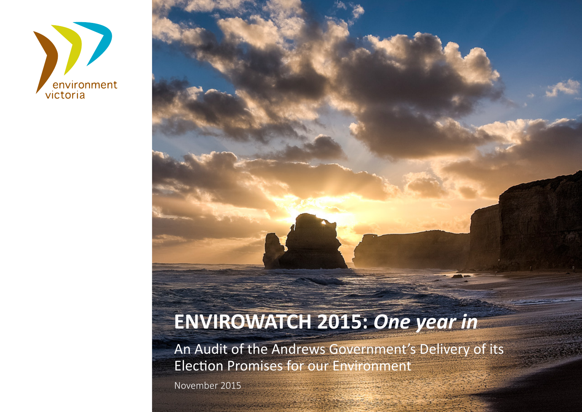

# **ENVIROWATCH 2015:** *One year in*

An Audit of the Andrews Government's Delivery of its Election Promises for our Environment

November 2015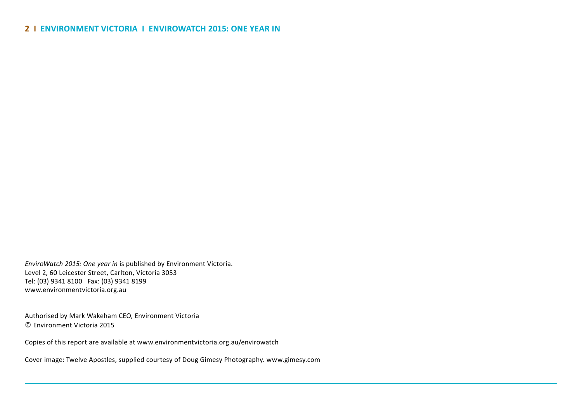*EnviroWatch 2015: One year in* is published by Environment Victoria. Level 2, 60 Leicester Street, Carlton, Victoria 3053 Tel: (03) 9341 8100 Fax: (03) 9341 8199 www.environmentvictoria.org.au

Authorised by Mark Wakeham CEO, Environment Victoria © Environment Victoria 2015

Copies of this report are available at www.environmentvictoria.org.au/envirowatch

Cover image: Twelve Apostles, supplied courtesy of Doug Gimesy Photography. www.gimesy.com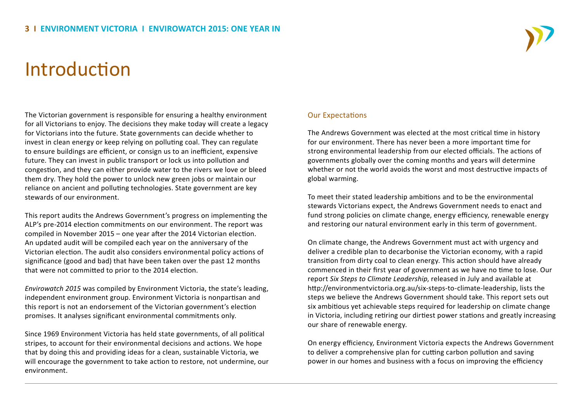# Introduction

The Victorian government is responsible for ensuring a healthy environment for all Victorians to enjoy. The decisions they make today will create a legacy for Victorians into the future. State governments can decide whether to invest in clean energy or keep relying on polluting coal. They can regulate to ensure buildings are efficient, or consign us to an inefficient, expensive future. They can invest in public transport or lock us into pollution and congestion, and they can either provide water to the rivers we love or bleed them dry. They hold the power to unlock new green jobs or maintain our reliance on ancient and polluting technologies. State government are key stewards of our environment.

This report audits the Andrews Government's progress on implementing the ALP's pre-2014 election commitments on our environment. The report was compiled in November 2015 – one year after the 2014 Victorian election. An updated audit will be compiled each year on the anniversary of the Victorian election. The audit also considers environmental policy actions of significance (good and bad) that have been taken over the past 12 months that were not committed to prior to the 2014 election.

*Envirowatch 2015* was compiled by Environment Victoria, the state's leading, independent environment group. Environment Victoria is nonpartisan and this report is not an endorsement of the Victorian government's election promises. It analyses significant environmental commitments only.

Since 1969 Environment Victoria has held state governments, of all political stripes, to account for their environmental decisions and actions. We hope that by doing this and providing ideas for a clean, sustainable Victoria, we will encourage the government to take action to restore, not undermine, our environment.

#### Our Expectations

The Andrews Government was elected at the most critical time in history for our environment. There has never been a more important time for strong environmental leadership from our elected officials. The actions of governments globally over the coming months and years will determine whether or not the world avoids the worst and most destructive impacts of global warming.

To meet their stated leadership ambitions and to be the environmental stewards Victorians expect, the Andrews Government needs to enact and fund strong policies on climate change, energy efficiency, renewable energy and restoring our natural environment early in this term of government.

On climate change, the Andrews Government must act with urgency and deliver a credible plan to decarbonise the Victorian economy, with a rapid transition from dirty coal to clean energy. This action should have already commenced in their first year of government as we have no time to lose. Our report *Six Steps to Climate Leadership*, released in July and available at http://environmentvictoria.org.au/six-steps-to-climate-leadership, lists the steps we believe the Andrews Government should take. This report sets out six ambitious yet achievable steps required for leadership on climate change in Victoria, including retiring our dirtiest power stations and greatly increasing our share of renewable energy.

On energy efficiency, Environment Victoria expects the Andrews Government to deliver a comprehensive plan for cutting carbon pollution and saving power in our homes and business with a focus on improving the efficiency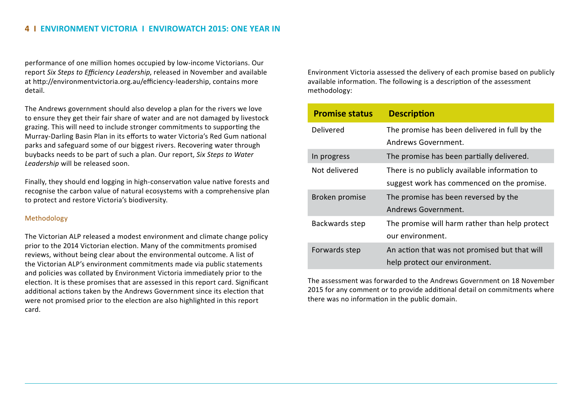performance of one million homes occupied by low-income Victorians. Our report *Six Steps to Efficiency Leadership*, released in November and available at http://environmentvictoria.org.au/efficiency-leadership, contains more detail.

The Andrews government should also develop a plan for the rivers we love to ensure they get their fair share of water and are not damaged by livestock grazing. This will need to include stronger commitments to supporting the Murray-Darling Basin Plan in its efforts to water Victoria's Red Gum national parks and safeguard some of our biggest rivers. Recovering water through buybacks needs to be part of such a plan. Our report, *Six Steps to Water Leadership* will be released soon.

Finally, they should end logging in high-conservation value native forests and recognise the carbon value of natural ecosystems with a comprehensive plan to protect and restore Victoria's biodiversity.

#### Methodology

The Victorian ALP released a modest environment and climate change policy prior to the 2014 Victorian election. Many of the commitments promised reviews, without being clear about the environmental outcome. A list of the Victorian ALP's environment commitments made via public statements and policies was collated by Environment Victoria immediately prior to the election. It is these promises that are assessed in this report card. Significant additional actions taken by the Andrews Government since its election that were not promised prior to the election are also highlighted in this report card.

Environment Victoria assessed the delivery of each promise based on publicly available information. The following is a description of the assessment methodology:

| <b>Promise status</b> | <b>Description</b>                             |
|-----------------------|------------------------------------------------|
| Delivered             | The promise has been delivered in full by the  |
|                       | Andrews Government.                            |
| In progress           | The promise has been partially delivered.      |
| Not delivered         | There is no publicly available information to  |
|                       | suggest work has commenced on the promise.     |
| Broken promise        | The promise has been reversed by the           |
|                       | Andrews Government.                            |
| Backwards step        | The promise will harm rather than help protect |
|                       | our environment.                               |
| Forwards step         | An action that was not promised but that will  |
|                       | help protect our environment.                  |

The assessment was forwarded to the Andrews Government on 18 November 2015 for any comment or to provide additional detail on commitments where there was no information in the public domain.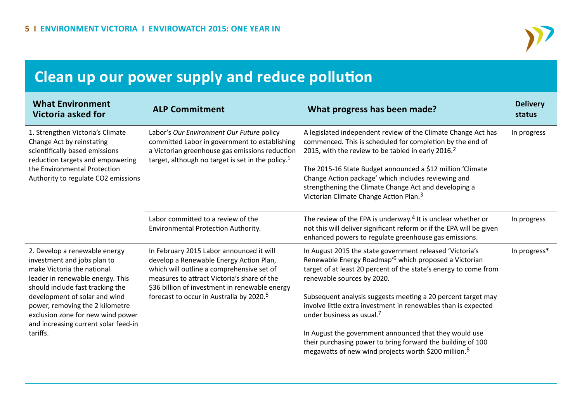

# **Clean up our power supply and reduce pollution**

| <b>What Environment</b><br>Victoria asked for                                                                                                                      | <b>ALP Commitment</b>                                                                                                                                                                                                             | What progress has been made?                                                                                                                                                                                                     | <b>Delivery</b><br>status |
|--------------------------------------------------------------------------------------------------------------------------------------------------------------------|-----------------------------------------------------------------------------------------------------------------------------------------------------------------------------------------------------------------------------------|----------------------------------------------------------------------------------------------------------------------------------------------------------------------------------------------------------------------------------|---------------------------|
| 1. Strengthen Victoria's Climate<br>Change Act by reinstating<br>scientifically based emissions<br>reduction targets and empowering                                | Labor's Our Environment Our Future policy<br>committed Labor in government to establishing<br>a Victorian greenhouse gas emissions reduction<br>target, although no target is set in the policy. <sup>1</sup>                     | A legislated independent review of the Climate Change Act has<br>commenced. This is scheduled for completion by the end of<br>2015, with the review to be tabled in early 2016. <sup>2</sup>                                     | In progress               |
| the Environmental Protection<br>Authority to regulate CO2 emissions                                                                                                |                                                                                                                                                                                                                                   | The 2015-16 State Budget announced a \$12 million 'Climate<br>Change Action package' which includes reviewing and<br>strengthening the Climate Change Act and developing a<br>Victorian Climate Change Action Plan. <sup>3</sup> |                           |
|                                                                                                                                                                    | Labor committed to a review of the<br>Environmental Protection Authority.                                                                                                                                                         | The review of the EPA is underway. <sup>4</sup> It is unclear whether or<br>not this will deliver significant reform or if the EPA will be given<br>enhanced powers to regulate greenhouse gas emissions.                        | In progress               |
| 2. Develop a renewable energy<br>investment and jobs plan to<br>make Victoria the national<br>leader in renewable energy. This<br>should include fast tracking the | In February 2015 Labor announced it will<br>develop a Renewable Energy Action Plan,<br>which will outline a comprehensive set of<br>measures to attract Victoria's share of the<br>\$36 billion of investment in renewable energy | In August 2015 the state government released 'Victoria's<br>Renewable Energy Roadmap' <sup>6</sup> which proposed a Victorian<br>target of at least 20 percent of the state's energy to come from<br>renewable sources by 2020.  | In progress*              |
| development of solar and wind<br>power, removing the 2 kilometre<br>exclusion zone for new wind power<br>and increasing current solar feed-in                      | forecast to occur in Australia by 2020. <sup>5</sup>                                                                                                                                                                              | Subsequent analysis suggests meeting a 20 percent target may<br>involve little extra investment in renewables than is expected<br>under business as usual. <sup>7</sup>                                                          |                           |
| tariffs.                                                                                                                                                           |                                                                                                                                                                                                                                   | In August the government announced that they would use<br>their purchasing power to bring forward the building of 100<br>megawatts of new wind projects worth \$200 million. <sup>8</sup>                                        |                           |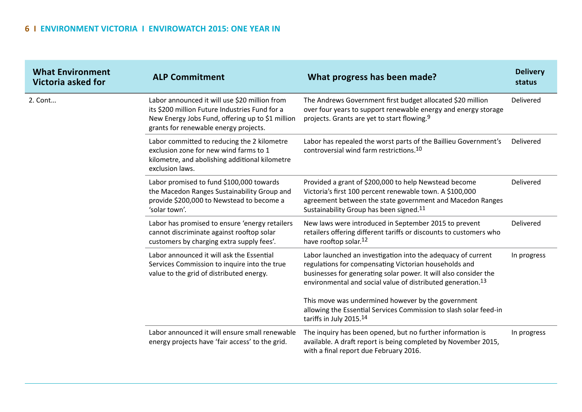| <b>What Environment</b><br>Victoria asked for | <b>ALP Commitment</b>                                                                                                                                                                        | What progress has been made?                                                                                                                                                                                                                                         | <b>Delivery</b><br>status |
|-----------------------------------------------|----------------------------------------------------------------------------------------------------------------------------------------------------------------------------------------------|----------------------------------------------------------------------------------------------------------------------------------------------------------------------------------------------------------------------------------------------------------------------|---------------------------|
| 2. Cont                                       | Labor announced it will use \$20 million from<br>its \$200 million Future Industries Fund for a<br>New Energy Jobs Fund, offering up to \$1 million<br>grants for renewable energy projects. | The Andrews Government first budget allocated \$20 million<br>over four years to support renewable energy and energy storage<br>projects. Grants are yet to start flowing. <sup>9</sup>                                                                              | Delivered                 |
|                                               | Labor committed to reducing the 2 kilometre<br>exclusion zone for new wind farms to 1<br>kilometre, and abolishing additional kilometre<br>exclusion laws.                                   | Labor has repealed the worst parts of the Baillieu Government's<br>controversial wind farm restrictions. <sup>10</sup>                                                                                                                                               | Delivered                 |
|                                               | Labor promised to fund \$100,000 towards<br>the Macedon Ranges Sustainability Group and<br>provide \$200,000 to Newstead to become a<br>'solar town'.                                        | Provided a grant of \$200,000 to help Newstead become<br>Victoria's first 100 percent renewable town. A \$100,000<br>agreement between the state government and Macedon Ranges<br>Sustainability Group has been signed. <sup>11</sup>                                | Delivered                 |
|                                               | Labor has promised to ensure 'energy retailers<br>cannot discriminate against rooftop solar<br>customers by charging extra supply fees'.                                                     | New laws were introduced in September 2015 to prevent<br>retailers offering different tariffs or discounts to customers who<br>have rooftop solar. <sup>12</sup>                                                                                                     | Delivered                 |
|                                               | Labor announced it will ask the Essential<br>Services Commission to inquire into the true<br>value to the grid of distributed energy.                                                        | Labor launched an investigation into the adequacy of current<br>regulations for compensating Victorian households and<br>businesses for generating solar power. It will also consider the<br>environmental and social value of distributed generation. <sup>13</sup> | In progress               |
|                                               |                                                                                                                                                                                              | This move was undermined however by the government<br>allowing the Essential Services Commission to slash solar feed-in<br>tariffs in July 2015.14                                                                                                                   |                           |
|                                               | Labor announced it will ensure small renewable<br>energy projects have 'fair access' to the grid.                                                                                            | The inquiry has been opened, but no further information is<br>available. A draft report is being completed by November 2015,<br>with a final report due February 2016.                                                                                               | In progress               |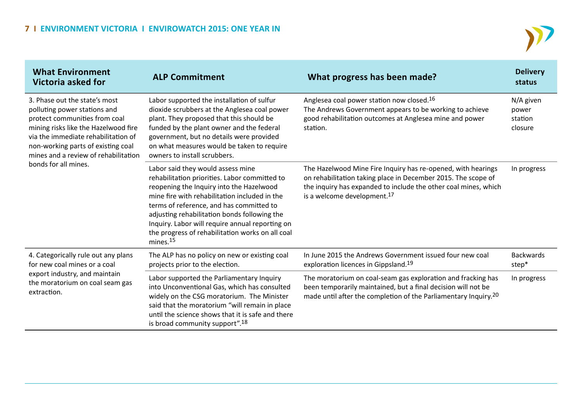

| <b>What Environment</b><br>Victoria asked for                                                                                                                                                                                                                                       | <b>ALP Commitment</b>                                                                                                                                                                                                                                                                                                                                                                                      | What progress has been made?                                                                                                                                                                                                                | <b>Delivery</b><br>status                |
|-------------------------------------------------------------------------------------------------------------------------------------------------------------------------------------------------------------------------------------------------------------------------------------|------------------------------------------------------------------------------------------------------------------------------------------------------------------------------------------------------------------------------------------------------------------------------------------------------------------------------------------------------------------------------------------------------------|---------------------------------------------------------------------------------------------------------------------------------------------------------------------------------------------------------------------------------------------|------------------------------------------|
| 3. Phase out the state's most<br>polluting power stations and<br>protect communities from coal<br>mining risks like the Hazelwood fire<br>via the immediate rehabilitation of<br>non-working parts of existing coal<br>mines and a review of rehabilitation<br>bonds for all mines. | Labor supported the installation of sulfur<br>dioxide scrubbers at the Anglesea coal power<br>plant. They proposed that this should be<br>funded by the plant owner and the federal<br>government, but no details were provided<br>on what measures would be taken to require<br>owners to install scrubbers.                                                                                              | Anglesea coal power station now closed. <sup>16</sup><br>The Andrews Government appears to be working to achieve<br>good rehabilitation outcomes at Anglesea mine and power<br>station.                                                     | N/A given<br>power<br>station<br>closure |
|                                                                                                                                                                                                                                                                                     | Labor said they would assess mine<br>rehabilitation priorities. Labor committed to<br>reopening the Inquiry into the Hazelwood<br>mine fire with rehabilitation included in the<br>terms of reference, and has committed to<br>adjusting rehabilitation bonds following the<br>Inquiry. Labor will require annual reporting on<br>the progress of rehabilitation works on all coal<br>mines. <sup>15</sup> | The Hazelwood Mine Fire Inquiry has re-opened, with hearings<br>on rehabilitation taking place in December 2015. The scope of<br>the inquiry has expanded to include the other coal mines, which<br>is a welcome development. <sup>17</sup> | In progress                              |
| 4. Categorically rule out any plans<br>for new coal mines or a coal<br>export industry, and maintain<br>the moratorium on coal seam gas<br>extraction.                                                                                                                              | The ALP has no policy on new or existing coal<br>projects prior to the election.                                                                                                                                                                                                                                                                                                                           | In June 2015 the Andrews Government issued four new coal<br>exploration licences in Gippsland. <sup>19</sup>                                                                                                                                | <b>Backwards</b><br>step*                |
|                                                                                                                                                                                                                                                                                     | Labor supported the Parliamentary Inquiry<br>into Unconventional Gas, which has consulted<br>widely on the CSG moratorium. The Minister<br>said that the moratorium "will remain in place<br>until the science shows that it is safe and there<br>is broad community support". <sup>18</sup>                                                                                                               | The moratorium on coal-seam gas exploration and fracking has<br>been temporarily maintained, but a final decision will not be<br>made until after the completion of the Parliamentary Inquiry. <sup>20</sup>                                | In progress                              |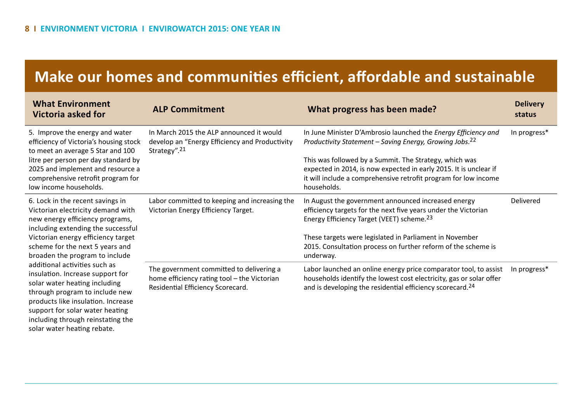## **Make our homes and communities efficient, affordable and sustainable**

| <b>What Environment</b><br>Victoria asked for                                                                                                                                                                                                                                                                                                                                                                                                                                                                                                  | <b>ALP Commitment</b>                                                                                                        | What progress has been made?                                                                                                                                                                                                                                                                                                                           | <b>Delivery</b><br>status |
|------------------------------------------------------------------------------------------------------------------------------------------------------------------------------------------------------------------------------------------------------------------------------------------------------------------------------------------------------------------------------------------------------------------------------------------------------------------------------------------------------------------------------------------------|------------------------------------------------------------------------------------------------------------------------------|--------------------------------------------------------------------------------------------------------------------------------------------------------------------------------------------------------------------------------------------------------------------------------------------------------------------------------------------------------|---------------------------|
| 5. Improve the energy and water<br>efficiency of Victoria's housing stock<br>to meet an average 5 Star and 100<br>litre per person per day standard by<br>2025 and implement and resource a<br>comprehensive retrofit program for<br>low income households.                                                                                                                                                                                                                                                                                    | In March 2015 the ALP announced it would<br>develop an "Energy Efficiency and Productivity<br>Strategy". <sup>21</sup>       | In June Minister D'Ambrosio launched the Energy Efficiency and<br>Productivity Statement - Saving Energy, Growing Jobs. <sup>22</sup><br>This was followed by a Summit. The Strategy, which was<br>expected in 2014, is now expected in early 2015. It is unclear if<br>it will include a comprehensive retrofit program for low income<br>households. | In progress*              |
| 6. Lock in the recent savings in<br>Victorian electricity demand with<br>new energy efficiency programs,<br>including extending the successful<br>Victorian energy efficiency target<br>scheme for the next 5 years and<br>broaden the program to include<br>additional activities such as<br>insulation. Increase support for<br>solar water heating including<br>through program to include new<br>products like insulation. Increase<br>support for solar water heating<br>including through reinstating the<br>solar water heating rebate. | Labor committed to keeping and increasing the<br>Victorian Energy Efficiency Target.                                         | In August the government announced increased energy<br>efficiency targets for the next five years under the Victorian<br>Energy Efficiency Target (VEET) scheme. <sup>23</sup><br>These targets were legislated in Parliament in November<br>2015. Consultation process on further reform of the scheme is<br>underway.                                | Delivered                 |
|                                                                                                                                                                                                                                                                                                                                                                                                                                                                                                                                                | The government committed to delivering a<br>home efficiency rating tool - the Victorian<br>Residential Efficiency Scorecard. | Labor launched an online energy price comparator tool, to assist<br>households identify the lowest cost electricity, gas or solar offer<br>and is developing the residential efficiency scorecard. <sup>24</sup>                                                                                                                                       | In progress*              |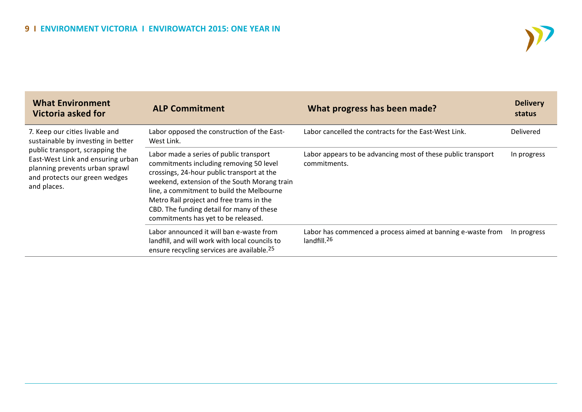

| <b>What Environment</b><br>Victoria asked for                                                                                                                                                                                  | <b>ALP Commitment</b>                                                                                                                                                                                                                                                                                                                                         | What progress has been made?                                                           | <b>Delivery</b><br>status |
|--------------------------------------------------------------------------------------------------------------------------------------------------------------------------------------------------------------------------------|---------------------------------------------------------------------------------------------------------------------------------------------------------------------------------------------------------------------------------------------------------------------------------------------------------------------------------------------------------------|----------------------------------------------------------------------------------------|---------------------------|
| 7. Keep our cities livable and<br>sustainable by investing in better<br>public transport, scrapping the<br>East-West Link and ensuring urban<br>planning prevents urban sprawl<br>and protects our green wedges<br>and places. | Labor opposed the construction of the East-<br>West Link.                                                                                                                                                                                                                                                                                                     | Labor cancelled the contracts for the East-West Link.                                  | <b>Delivered</b>          |
|                                                                                                                                                                                                                                | Labor made a series of public transport<br>commitments including removing 50 level<br>crossings, 24-hour public transport at the<br>weekend, extension of the South Morang train<br>line, a commitment to build the Melbourne<br>Metro Rail project and free trams in the<br>CBD. The funding detail for many of these<br>commitments has yet to be released. | Labor appears to be advancing most of these public transport<br>commitments.           | In progress               |
|                                                                                                                                                                                                                                | Labor announced it will ban e-waste from<br>landfill, and will work with local councils to<br>ensure recycling services are available. <sup>25</sup>                                                                                                                                                                                                          | Labor has commenced a process aimed at banning e-waste from<br>landfill. <sup>26</sup> | In progress               |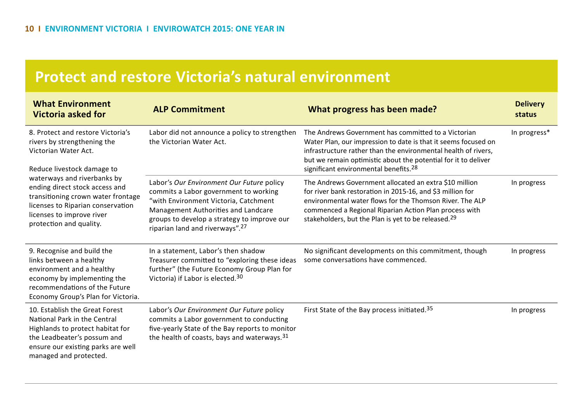### **Protect and restore Victoria's natural environment**

| <b>What Environment</b><br><b>Victoria asked for</b>                                                                                                                                                                                                                                                                       | <b>ALP Commitment</b>                                                                                                                                                                                                                                            | What progress has been made?                                                                                                                                                                                                                                                                                   | <b>Delivery</b><br>status |
|----------------------------------------------------------------------------------------------------------------------------------------------------------------------------------------------------------------------------------------------------------------------------------------------------------------------------|------------------------------------------------------------------------------------------------------------------------------------------------------------------------------------------------------------------------------------------------------------------|----------------------------------------------------------------------------------------------------------------------------------------------------------------------------------------------------------------------------------------------------------------------------------------------------------------|---------------------------|
| 8. Protect and restore Victoria's<br>rivers by strengthening the<br>Victorian Water Act.<br>Reduce livestock damage to<br>waterways and riverbanks by<br>ending direct stock access and<br>transitioning crown water frontage<br>licenses to Riparian conservation<br>licenses to improve river<br>protection and quality. | Labor did not announce a policy to strengthen<br>the Victorian Water Act.                                                                                                                                                                                        | The Andrews Government has committed to a Victorian<br>Water Plan, our impression to date is that it seems focused on<br>infrastructure rather than the environmental health of rivers,<br>but we remain optimistic about the potential for it to deliver<br>significant environmental benefits. <sup>28</sup> | In progress*              |
|                                                                                                                                                                                                                                                                                                                            | Labor's Our Environment Our Future policy<br>commits a Labor government to working<br>"with Environment Victoria, Catchment<br>Management Authorities and Landcare<br>groups to develop a strategy to improve our<br>riparian land and riverways". <sup>27</sup> | The Andrews Government allocated an extra \$10 million<br>for river bank restoration in 2015-16, and \$3 million for<br>environmental water flows for the Thomson River. The ALP<br>commenced a Regional Riparian Action Plan process with<br>stakeholders, but the Plan is yet to be released. <sup>29</sup>  | In progress               |
| 9. Recognise and build the<br>links between a healthy<br>environment and a healthy<br>economy by implementing the<br>recommendations of the Future<br>Economy Group's Plan for Victoria.                                                                                                                                   | In a statement, Labor's then shadow<br>Treasurer committed to "exploring these ideas<br>further" (the Future Economy Group Plan for<br>Victoria) if Labor is elected. <sup>30</sup>                                                                              | No significant developments on this commitment, though<br>some conversations have commenced.                                                                                                                                                                                                                   | In progress               |
| 10. Establish the Great Forest<br>National Park in the Central<br>Highlands to protect habitat for<br>the Leadbeater's possum and<br>ensure our existing parks are well<br>managed and protected.                                                                                                                          | Labor's Our Environment Our Future policy<br>commits a Labor government to conducting<br>five-yearly State of the Bay reports to monitor<br>the health of coasts, bays and waterways. 31                                                                         | First State of the Bay process initiated. <sup>35</sup>                                                                                                                                                                                                                                                        | In progress               |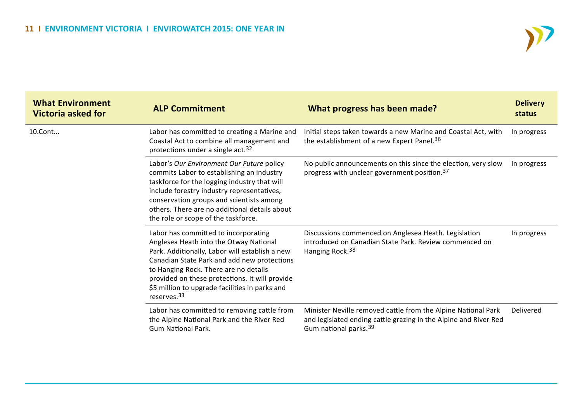

| <b>What Environment</b><br><b>Victoria asked for</b> | <b>ALP Commitment</b>                                                                                                                                                                                                                                                                                                                                   | What progress has been made?                                                                                                                                           | <b>Delivery</b><br>status |
|------------------------------------------------------|---------------------------------------------------------------------------------------------------------------------------------------------------------------------------------------------------------------------------------------------------------------------------------------------------------------------------------------------------------|------------------------------------------------------------------------------------------------------------------------------------------------------------------------|---------------------------|
| 10.Cont                                              | Labor has committed to creating a Marine and<br>Coastal Act to combine all management and<br>protections under a single act. <sup>32</sup>                                                                                                                                                                                                              | Initial steps taken towards a new Marine and Coastal Act, with<br>the establishment of a new Expert Panel. <sup>36</sup>                                               | In progress               |
|                                                      | Labor's Our Environment Our Future policy<br>commits Labor to establishing an industry<br>taskforce for the logging industry that will<br>include forestry industry representatives,<br>conservation groups and scientists among<br>others. There are no additional details about<br>the role or scope of the taskforce.                                | No public announcements on this since the election, very slow<br>progress with unclear government position. <sup>37</sup>                                              | In progress               |
|                                                      | Labor has committed to incorporating<br>Anglesea Heath into the Otway National<br>Park. Additionally, Labor will establish a new<br>Canadian State Park and add new protections<br>to Hanging Rock. There are no details<br>provided on these protections. It will provide<br>\$5 million to upgrade facilities in parks and<br>reserves. <sup>33</sup> | Discussions commenced on Anglesea Heath. Legislation<br>introduced on Canadian State Park. Review commenced on<br>Hanging Rock. <sup>38</sup>                          | In progress               |
|                                                      | Labor has committed to removing cattle from<br>the Alpine National Park and the River Red<br><b>Gum National Park.</b>                                                                                                                                                                                                                                  | Minister Neville removed cattle from the Alpine National Park<br>and legislated ending cattle grazing in the Alpine and River Red<br>Gum national parks. <sup>39</sup> | Delivered                 |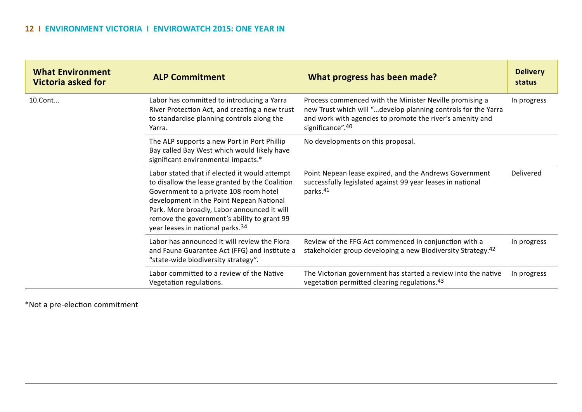| <b>What Environment</b><br><b>Victoria asked for</b> | <b>ALP Commitment</b>                                                                                                                                                                                                                                                                                                    | What progress has been made?                                                                                                                                                                              | <b>Delivery</b><br>status |
|------------------------------------------------------|--------------------------------------------------------------------------------------------------------------------------------------------------------------------------------------------------------------------------------------------------------------------------------------------------------------------------|-----------------------------------------------------------------------------------------------------------------------------------------------------------------------------------------------------------|---------------------------|
| 10.Cont                                              | Labor has committed to introducing a Yarra<br>River Protection Act, and creating a new trust<br>to standardise planning controls along the<br>Yarra.                                                                                                                                                                     | Process commenced with the Minister Neville promising a<br>new Trust which will "develop planning controls for the Yarra<br>and work with agencies to promote the river's amenity and<br>significance".40 | In progress               |
|                                                      | The ALP supports a new Port in Port Phillip<br>Bay called Bay West which would likely have<br>significant environmental impacts.*                                                                                                                                                                                        | No developments on this proposal.                                                                                                                                                                         |                           |
|                                                      | Labor stated that if elected it would attempt<br>to disallow the lease granted by the Coalition<br>Government to a private 108 room hotel<br>development in the Point Nepean National<br>Park. More broadly, Labor announced it will<br>remove the government's ability to grant 99<br>year leases in national parks. 34 | Point Nepean lease expired, and the Andrews Government<br>successfully legislated against 99 year leases in national<br>parks. <sup>41</sup>                                                              | Delivered                 |
|                                                      | Labor has announced it will review the Flora<br>and Fauna Guarantee Act (FFG) and institute a<br>"state-wide biodiversity strategy".                                                                                                                                                                                     | Review of the FFG Act commenced in conjunction with a<br>stakeholder group developing a new Biodiversity Strategy. <sup>42</sup>                                                                          | In progress               |
|                                                      | Labor committed to a review of the Native<br>Vegetation regulations.                                                                                                                                                                                                                                                     | The Victorian government has started a review into the native<br>vegetation permitted clearing regulations. <sup>43</sup>                                                                                 | In progress               |

\*Not a pre-election commitment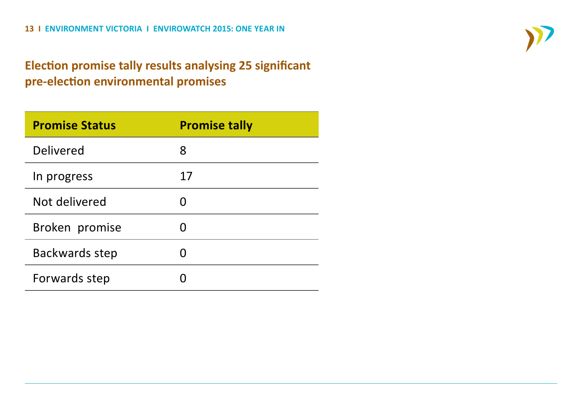### **Election promise tally results analysing 25 significant pre-election environmental promises**

| <b>Promise Status</b> | <b>Promise tally</b> |
|-----------------------|----------------------|
| Delivered             | 8                    |
| In progress           | 17                   |
| Not delivered         |                      |
| Broken promise        |                      |
| Backwards step        |                      |
| Forwards step         |                      |

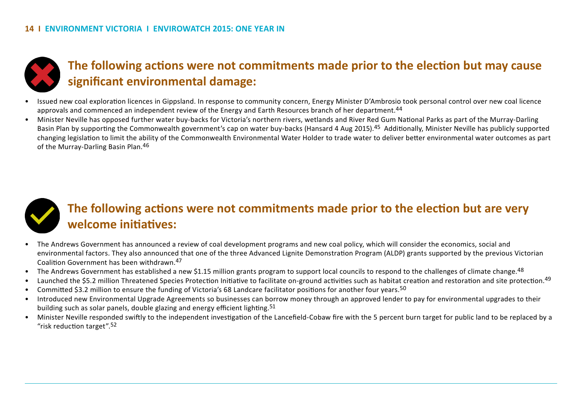

### **The following actions were not commitments made prior to the election but may cause significant environmental damage:**

- Issued new coal exploration licences in Gippsland. In response to community concern, Energy Minister D'Ambrosio took personal control over new coal licence approvals and commenced an independent review of the Energy and Earth Resources branch of her department.<sup>44</sup>
- Minister Neville has opposed further water buy-backs for Victoria's northern rivers, wetlands and River Red Gum National Parks as part of the Murray-Darling Basin Plan by supporting the Commonwealth government's cap on water buy-backs (Hansard 4 Aug 2015).<sup>45</sup> Additionally, Minister Neville has publicly supported changing legislation to limit the ability of the Commonwealth Environmental Water Holder to trade water to deliver better environmental water outcomes as part of the Murray-Darling Basin Plan.46



### **The following actions were not commitments made prior to the election but are very welcome initiatives:**

- The Andrews Government has announced a review of coal development programs and new coal policy, which will consider the economics, social and environmental factors. They also announced that one of the three Advanced Lignite Demonstration Program (ALDP) grants supported by the previous Victorian Coalition Government has been withdrawn.47
- The Andrews Government has established a new \$1.15 million grants program to support local councils to respond to the challenges of climate change. <sup>48</sup>
- Launched the \$5.2 million Threatened Species Protection Initiative to facilitate on-ground activities such as habitat creation and restoration and site protection.<sup>49</sup>
- Committed \$3.2 million to ensure the funding of Victoria's 68 Landcare facilitator positions for another four years.50
- Introduced new Environmental Upgrade Agreements so businesses can borrow money through an approved lender to pay for environmental upgrades to their building such as solar panels, double glazing and energy efficient lighting.<sup>51</sup>
- Minister Neville responded swiftly to the independent investigation of the Lancefield-Cobaw fire with the 5 percent burn target for public land to be replaced by a "risk reduction target".52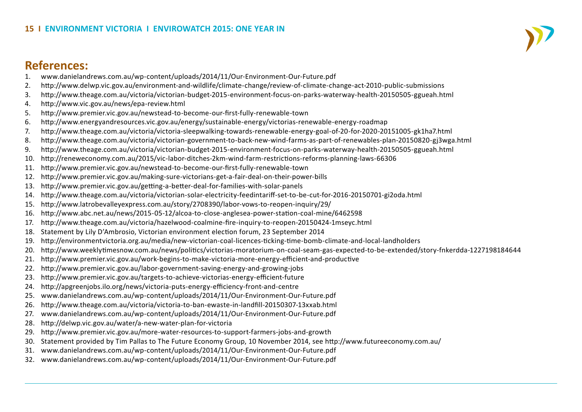# **References:**<br>1. www.danieland

- 1. www.danielandrews.com.au/wp-content/uploads/2014/11/Our-Environment-Our-Future.pdf
- 2. http://www.delwp.vic.gov.au/environment-and-wildlife/climate-change/review-of-climate-change-act-2010-public-submissions
- 3. http://www.theage.com.au/victoria/victorian-budget-2015-environment-focus-on-parks-waterway-health-20150505-ggueah.html
- 4. http://www.vic.gov.au/news/epa-review.html
- 5. http://www.premier.vic.gov.au/newstead-to-become-our-first-fully-renewable-town
- 6. http://www.energyandresources.vic.gov.au/energy/sustainable-energy/victorias-renewable-energy-roadmap
- 7. http://www.theage.com.au/victoria/victoria-sleepwalking-towards-renewable-energy-goal-of-20-for-2020-20151005-gk1ha7.html
- 8. http://www.theage.com.au/victoria/victorian-government-to-back-new-wind-farms-as-part-of-renewables-plan-20150820-gj3wga.html
- 9. http://www.theage.com.au/victoria/victorian-budget-2015-environment-focus-on-parks-waterway-health-20150505-ggueah.html
- 10. http://reneweconomy.com.au/2015/vic-labor-ditches-2km-wind-farm-restrictions-reforms-planning-laws-66306
- 11. http://www.premier.vic.gov.au/newstead-to-become-our-first-fully-renewable-town
- 12. http://www.premier.vic.gov.au/making-sure-victorians-get-a-fair-deal-on-their-power-bills
- 13. http://www.premier.vic.gov.au/getting-a-better-deal-for-families-with-solar-panels
- 14. http://www.theage.com.au/victoria/victorian-solar-electricity-feedintariff-set-to-be-cut-for-2016-20150701-gi2oda.html
- 15. http://www.latrobevalleyexpress.com.au/story/2708390/labor-vows-to-reopen-inquiry/29/
- 16. http://www.abc.net.au/news/2015-05-12/alcoa-to-close-anglesea-power-station-coal-mine/6462598
- 17. http://www.theage.com.au/victoria/hazelwood-coalmine-fire-inquiry-to-reopen-20150424-1mseyc.html
- 18. Statement by Lily D'Ambrosio, Victorian environment election forum, 23 September 2014
- 19. http://environmentvictoria.org.au/media/new-victorian-coal-licences-ticking-time-bomb-climate-and-local-landholders
- 20. http://www.weeklytimesnow.com.au/news/politics/victorias-moratorium-on-coal-seam-gas-expected-to-be-extended/story-fnkerdda-1227198184644
- 21. http://www.premier.vic.gov.au/work-begins-to-make-victoria-more-energy-efficient-and-productive
- 22. http://www.premier.vic.gov.au/labor-government-saving-energy-and-growing-jobs
- 23. http://www.premier.vic.gov.au/targets-to-achieve-victorias-energy-efficient-future
- 24. http://apgreenjobs.ilo.org/news/victoria-puts-energy-efficiency-front-and-centre
- 25. www.danielandrews.com.au/wp-content/uploads/2014/11/Our-Environment-Our-Future.pdf
- 26. http://www.theage.com.au/victoria/victoria-to-ban-ewaste-in-landfill-20150307-13xxab.html
- 27. www.danielandrews.com.au/wp-content/uploads/2014/11/Our-Environment-Our-Future.pdf
- 28. http://delwp.vic.gov.au/water/a-new-water-plan-for-victoria
- 29. http://www.premier.vic.gov.au/more-water-resources-to-support-farmers-jobs-and-growth
- 30. Statement provided by Tim Pallas to The Future Economy Group, 10 November 2014, see http://www.futureeconomy.com.au/
- 31. www.danielandrews.com.au/wp-content/uploads/2014/11/Our-Environment-Our-Future.pdf
- 32. www.danielandrews.com.au/wp-content/uploads/2014/11/Our-Environment-Our-Future.pdf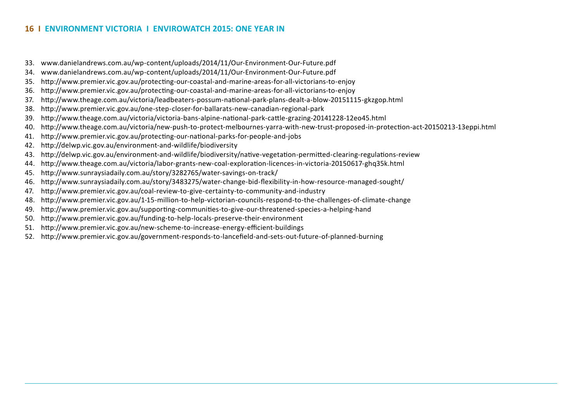- 33. www.danielandrews.com.au/wp-content/uploads/2014/11/Our-Environment-Our-Future.pdf
- 34. www.danielandrews.com.au/wp-content/uploads/2014/11/Our-Environment-Our-Future.pdf
- 35. http://www.premier.vic.gov.au/protecting-our-coastal-and-marine-areas-for-all-victorians-to-enjoy
- 36. http://www.premier.vic.gov.au/protecting-our-coastal-and-marine-areas-for-all-victorians-to-enjoy
- 37. http://www.theage.com.au/victoria/leadbeaters-possum-national-park-plans-dealt-a-blow-20151115-gkzgop.html
- 38. http://www.premier.vic.gov.au/one-step-closer-for-ballarats-new-canadian-regional-park
- 39. http://www.theage.com.au/victoria/victoria-bans-alpine-national-park-cattle-grazing-20141228-12eo45.html
- 40. http://www.theage.com.au/victoria/new-push-to-protect-melbournes-yarra-with-new-trust-proposed-in-protection-act-20150213-13eppi.html
- 41. http://www.premier.vic.gov.au/protecting-our-national-parks-for-people-and-jobs
- 42. http://delwp.vic.gov.au/environment-and-wildlife/biodiversity
- 43. http://delwp.vic.gov.au/environment-and-wildlife/biodiversity/native-vegetation-permitted-clearing-regulations-review
- 44. http://www.theage.com.au/victoria/labor-grants-new-coal-exploration-licences-in-victoria-20150617-ghq35k.html
- 45. http://www.sunraysiadaily.com.au/story/3282765/water-savings-on-track/
- 46. http://www.sunraysiadaily.com.au/story/3483275/water-change-bid-flexibility-in-how-resource-managed-sought/
- 47. http://www.premier.vic.gov.au/coal-review-to-give-certainty-to-community-and-industry
- 48. http://www.premier.vic.gov.au/1-15-million-to-help-victorian-councils-respond-to-the-challenges-of-climate-change
- 49. http://www.premier.vic.gov.au/supporting-communities-to-give-our-threatened-species-a-helping-hand
- 50. http://www.premier.vic.gov.au/funding-to-help-locals-preserve-their-environment
- 51. http://www.premier.vic.gov.au/new-scheme-to-increase-energy-efficient-buildings
- 52. http://www.premier.vic.gov.au/government-responds-to-lancefield-and-sets-out-future-of-planned-burning